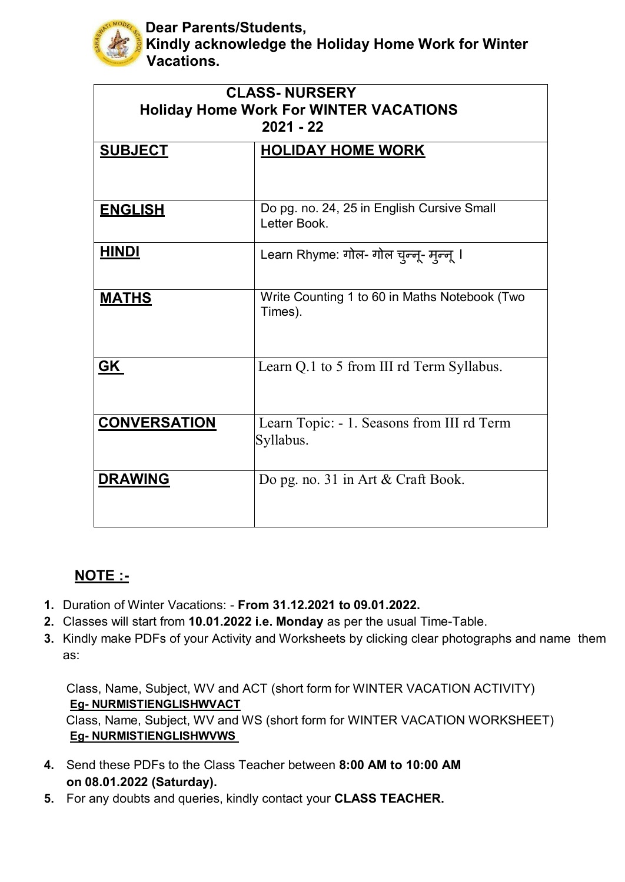

**Dear Parents/Students,**

**Kindly acknowledge the Holiday Home Work for Winter Vacations.**

| <b>CLASS-NURSERY</b><br><b>Holiday Home Work For WINTER VACATIONS</b><br>$2021 - 22$ |                                                            |
|--------------------------------------------------------------------------------------|------------------------------------------------------------|
| <b>SUBJECT</b>                                                                       | <b>HOLIDAY HOME WORK</b>                                   |
| <b>ENGLISH</b>                                                                       | Do pg. no. 24, 25 in English Cursive Small<br>Letter Book. |
| <b>HINDI</b>                                                                         | Learn Rhyme: गोल- गोल चुन्नू- मुन्नू ।                     |
| <b>MATHS</b>                                                                         | Write Counting 1 to 60 in Maths Notebook (Two<br>Times).   |
| GK                                                                                   | Learn Q.1 to 5 from III rd Term Syllabus.                  |
| <b>CONVERSATION</b>                                                                  | Learn Topic: - 1. Seasons from III rd Term<br>Syllabus.    |
| <b>DRAWING</b>                                                                       | Do pg. no. 31 in Art & Craft Book.                         |

## **NOTE :-**

- **1.** Duration of Winter Vacations: **From 31.12.2021 to 09.01.2022.**
- **2.** Classes will start from **10.01.2022 i.e. Monday** as per the usual Time-Table.
- **3.** Kindly make PDFs of your Activity and Worksheets by clicking clear photographs and name them as:

Class, Name, Subject, WV and ACT (short form for WINTER VACATION ACTIVITY) **Eg- NURMISTIENGLISHWVACT**

Class, Name, Subject, WV and WS (short form for WINTER VACATION WORKSHEET) **Eg- NURMISTIENGLISHWVWS** 

- **4.** Send these PDFs to the Class Teacher between **8:00 AM to 10:00 AM on 08.01.2022 (Saturday).**
- **5.** For any doubts and queries, kindly contact your **CLASS TEACHER.**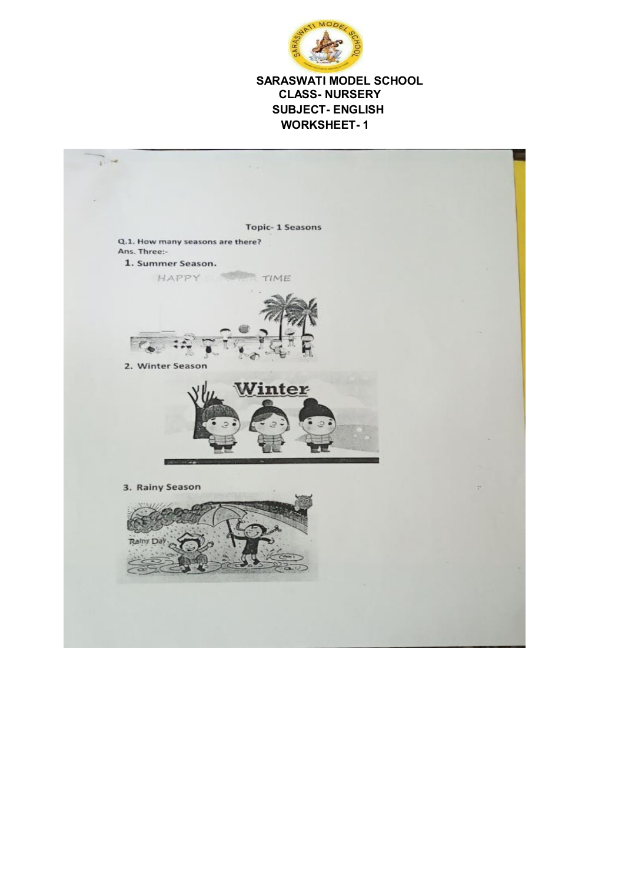

## **SARASWATI MODEL SCHOOL CLASS- NURSERY SUBJECT- ENGLISH WORKSHEET- 1**